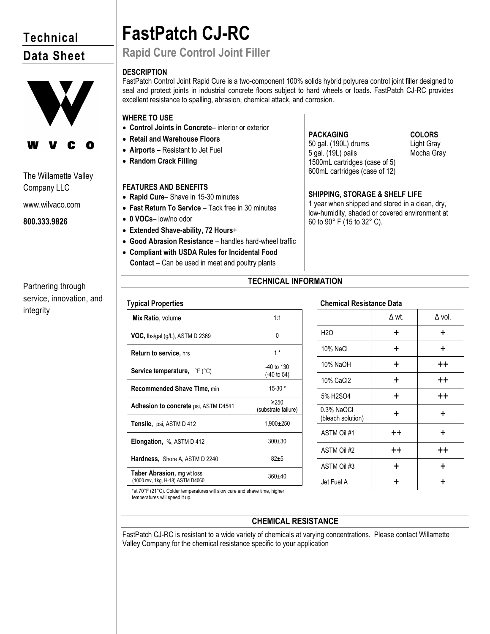# **Technical Data Sheet**



The Willamette Valley Company LLC

www.wilvaco.com

**800.333.9826**

# **FastPatch CJ-RC**

## **Rapid Cure Control Joint Filler**

## **DESCRIPTION**

FastPatch Control Joint Rapid Cure is a two-component 100% solids hybrid polyurea control joint filler designed to seal and protect joints in industrial concrete floors subject to hard wheels or loads. FastPatch CJ-RC provides excellent resistance to spalling, abrasion, chemical attack, and corrosion.

## **WHERE TO USE**

- **Control Joints in Concrete** interior or exterior
- **Retail and Warehouse Floors**
- **Airports –** Resistant to Jet Fuel
- **Random Crack Filling**

## **FEATURES AND BENEFITS**

- **Rapid Cure** Shave in 15-30 minutes
- **Fast Return To Service**  Tack free in 30 minutes
- **0 VOCs** low/no odor
- **Extended Shave-ability, 72 Hours**+
- **Good Abrasion Resistance** handles hard-wheel traffic
- **Compliant with USDA Rules for Incidental Food Contact** – Can be used in meat and poultry plants

## **PACKAGING**

50 gal. (190L) drums 5 gal. (19L) pails 1500mL cartridges (case of 5) 600mL cartridges (case of 12) **COLORS** Light Gray Mocha Gray

### **SHIPPING, STORAGE & SHELF LIFE**

1 year when shipped and stored in a clean, dry, low-humidity, shaded or covered environment at 60 to 90° F (15 to 32° C).

## **TECHNICAL INFORMATION**

## **Typical Properties**

| Mix Ratio, volume                                                     | 1:1                               |
|-----------------------------------------------------------------------|-----------------------------------|
| <b>VOC,</b> lbs/gal $(g/L)$ , ASTM D 2369                             | 0                                 |
| <b>Return to service, hrs</b>                                         | $1*$                              |
| <b>Service temperature,</b> ${}^{\circ}$ F ( ${}^{\circ}$ C)          | $-40$ to 130<br>(-40 to 54)       |
| <b>Recommended Shave Time, min</b>                                    | $15-30*$                          |
| Adhesion to concrete psi, ASTM D4541                                  | $\geq$ 250<br>(substrate failure) |
| Tensile, psi, ASTM D 412                                              | 1,900±250                         |
| <b>Elongation, %, ASTM D 412</b>                                      | $300+30$                          |
| <b>Hardness, Shore A, ASTM D 2240</b>                                 | $82+5$                            |
| <b>Taber Abrasion, mg wt loss</b><br>(1000 rev, 1kg, H-18) ASTM D4060 | $360+40$                          |

## **Chemical Resistance Data**

|                                 | $\Delta$ wt.    | $\Delta$ vol.   |
|---------------------------------|-----------------|-----------------|
| H <sub>2</sub> O                | $\div$          | ÷               |
| 10% NaCl                        | ÷               | $\ddot{}$       |
| 10% NaOH                        | ٠               | $^{\mathrm{+}}$ |
| 10% CaCl2                       | $\div$          | $++$            |
| 5% H2SO4                        | ÷               | $^{\mathrm{+}}$ |
| 0.3% NaOCI<br>(bleach solution) | ÷               | +               |
| ASTM Oil #1                     | $^{\mathrm{+}}$ | +               |
| ASTM Oil #2                     | $^{\mathrm{+}}$ | $^{\mathrm{+}}$ |
| ASTM Oil #3                     | ÷               | ÷               |
| Jet Fuel A                      |                 |                 |

\*at 70°F (21°C). Colder temperatures will slow cure and shave time, higher temperatures will speed it up.

## **CHEMICAL RESISTANCE**

FastPatch CJ-RC is resistant to a wide variety of chemicals at varying concentrations. Please contact Willamette Valley Company for the chemical resistance specific to your application

## Partnering through service, innovation, and integrity